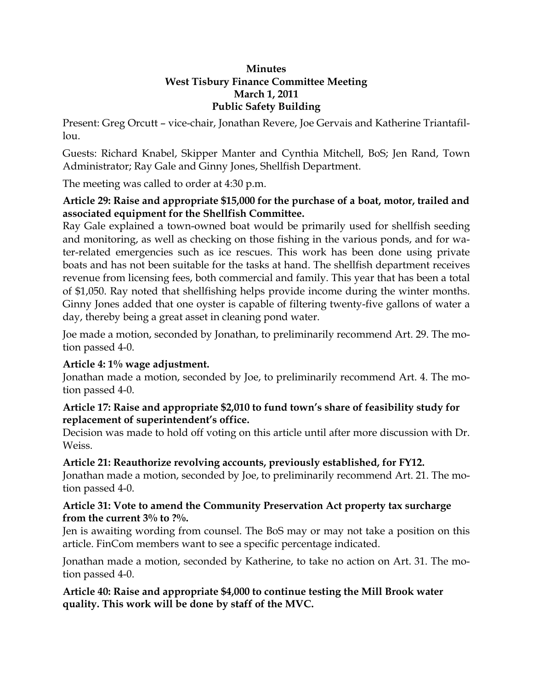#### **Minutes West Tisbury Finance Committee Meeting March 1, 2011 Public Safety Building**

Present: Greg Orcutt – vice-chair, Jonathan Revere, Joe Gervais and Katherine Triantafil- $\ln 1$ .

Guests: Richard Knabel, Skipper Manter and Cynthia Mitchell, BoS; Jen Rand, Town Administrator; Ray Gale and Ginny Jones, Shellfish Department.

The meeting was called to order at 4:30 p.m.

## **Article 29: Raise and appropriate \$15,000 for the purchase of a boat, motor, trailed and associated equipment for the Shellfish Committee.**

Ray Gale explained a town-owned boat would be primarily used for shellfish seeding and monitoring, as well as checking on those fishing in the various ponds, and for water-related emergencies such as ice rescues. This work has been done using private boats and has not been suitable for the tasks at hand. The shellfish department receives revenue from licensing fees, both commercial and family. This year that has been a total of \$1,050. Ray noted that shellfishing helps provide income during the winter months. Ginny Jones added that one oyster is capable of filtering twenty-five gallons of water a day, thereby being a great asset in cleaning pond water.

Joe made a motion, seconded by Jonathan, to preliminarily recommend Art. 29. The motion passed 4-0.

## **Article 4: 1% wage adjustment.**

Jonathan made a motion, seconded by Joe, to preliminarily recommend Art. 4. The motion passed 4-0.

#### **Article 17: Raise and appropriate \$2,010 to fund town's share of feasibility study for replacement of superintendent's office.**

Decision was made to hold off voting on this article until after more discussion with Dr. Weiss.

## **Article 21: Reauthorize revolving accounts, previously established, for FY12.**

Jonathan made a motion, seconded by Joe, to preliminarily recommend Art. 21. The motion passed 4-0.

## **Article 31: Vote to amend the Community Preservation Act property tax surcharge from the current 3% to ?%.**

Jen is awaiting wording from counsel. The BoS may or may not take a position on this article. FinCom members want to see a specific percentage indicated.

Jonathan made a motion, seconded by Katherine, to take no action on Art. 31. The motion passed 4-0.

## **Article 40: Raise and appropriate \$4,000 to continue testing the Mill Brook water quality. This work will be done by staff of the MVC.**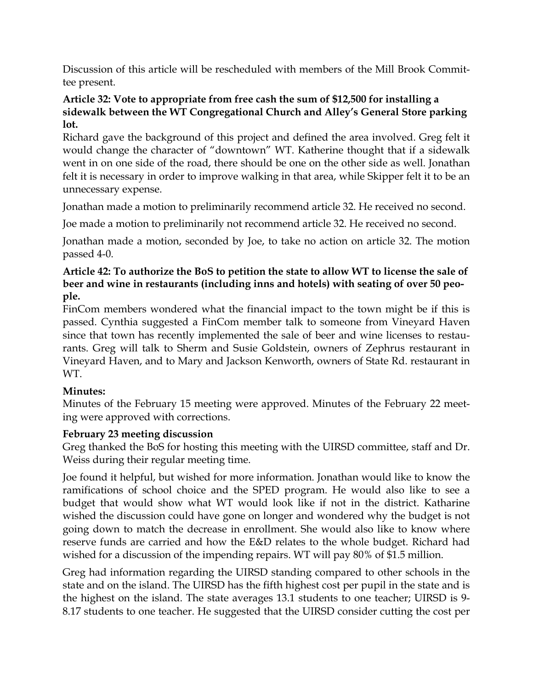Discussion of this article will be rescheduled with members of the Mill Brook Committee present.

#### **Article 32: Vote to appropriate from free cash the sum of \$12,500 for installing a sidewalk between the WT Congregational Church and Alley's General Store parking lot.**

Richard gave the background of this project and defined the area involved. Greg felt it would change the character of "downtown" WT. Katherine thought that if a sidewalk went in on one side of the road, there should be one on the other side as well. Jonathan felt it is necessary in order to improve walking in that area, while Skipper felt it to be an unnecessary expense.

Jonathan made a motion to preliminarily recommend article 32. He received no second.

Joe made a motion to preliminarily not recommend article 32. He received no second.

Jonathan made a motion, seconded by Joe, to take no action on article 32. The motion passed 4-0.

## **Article 42: To authorize the BoS to petition the state to allow WT to license the sale of beer and wine in restaurants (including inns and hotels) with seating of over 50 people.**

FinCom members wondered what the financial impact to the town might be if this is passed. Cynthia suggested a FinCom member talk to someone from Vineyard Haven since that town has recently implemented the sale of beer and wine licenses to restaurants. Greg will talk to Sherm and Susie Goldstein, owners of Zephrus restaurant in Vineyard Haven, and to Mary and Jackson Kenworth, owners of State Rd. restaurant in WT.

# **Minutes:**

Minutes of the February 15 meeting were approved. Minutes of the February 22 meeting were approved with corrections.

# **February 23 meeting discussion**

Greg thanked the BoS for hosting this meeting with the UIRSD committee, staff and Dr. Weiss during their regular meeting time.

Joe found it helpful, but wished for more information. Jonathan would like to know the ramifications of school choice and the SPED program. He would also like to see a budget that would show what WT would look like if not in the district. Katharine wished the discussion could have gone on longer and wondered why the budget is not going down to match the decrease in enrollment. She would also like to know where reserve funds are carried and how the E&D relates to the whole budget. Richard had wished for a discussion of the impending repairs. WT will pay 80% of \$1.5 million.

Greg had information regarding the UIRSD standing compared to other schools in the state and on the island. The UIRSD has the fifth highest cost per pupil in the state and is the highest on the island. The state averages 13.1 students to one teacher; UIRSD is 9- 8.17 students to one teacher. He suggested that the UIRSD consider cutting the cost per